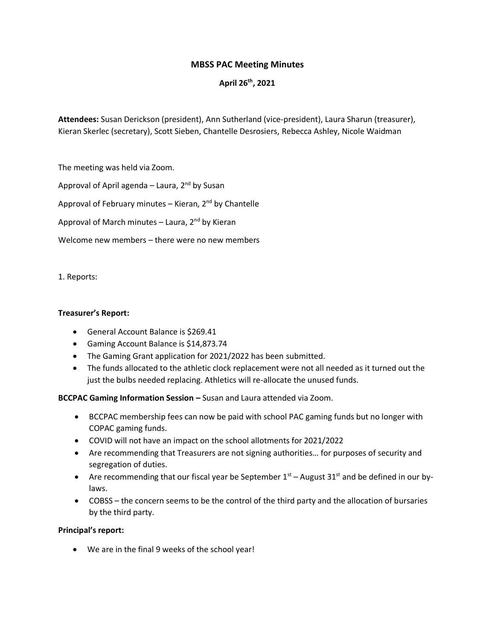# **MBSS PAC Meeting Minutes**

# **April 26th, 2021**

**Attendees:** Susan Derickson (president), Ann Sutherland (vice-president), Laura Sharun (treasurer), Kieran Skerlec (secretary), Scott Sieben, Chantelle Desrosiers, Rebecca Ashley, Nicole Waidman

The meeting was held via Zoom.

Approval of April agenda – Laura,  $2^{nd}$  by Susan

Approval of February minutes – Kieran,  $2^{nd}$  by Chantelle

Approval of March minutes – Laura,  $2^{nd}$  by Kieran

Welcome new members – there were no new members

1. Reports:

## **Treasurer's Report:**

- General Account Balance is \$269.41
- Gaming Account Balance is \$14,873.74
- The Gaming Grant application for 2021/2022 has been submitted.
- The funds allocated to the athletic clock replacement were not all needed as it turned out the just the bulbs needed replacing. Athletics will re-allocate the unused funds.

**BCCPAC Gaming Information Session –** Susan and Laura attended via Zoom.

- BCCPAC membership fees can now be paid with school PAC gaming funds but no longer with COPAC gaming funds.
- COVID will not have an impact on the school allotments for 2021/2022
- Are recommending that Treasurers are not signing authorities… for purposes of security and segregation of duties.
- Are recommending that our fiscal year be September  $1<sup>st</sup>$  August 31<sup>st</sup> and be defined in our bylaws.
- COBSS the concern seems to be the control of the third party and the allocation of bursaries by the third party.

## **Principal's report:**

• We are in the final 9 weeks of the school year!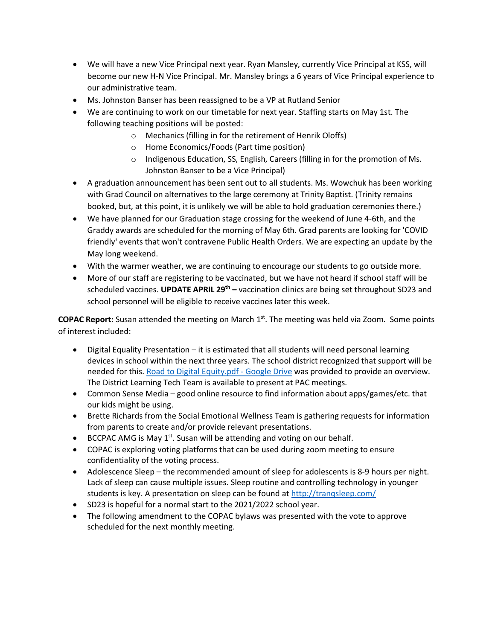- We will have a new Vice Principal next year. Ryan Mansley, currently Vice Principal at KSS, will become our new H-N Vice Principal. Mr. Mansley brings a 6 years of Vice Principal experience to our administrative team.
- Ms. Johnston Banser has been reassigned to be a VP at Rutland Senior
- We are continuing to work on our timetable for next year. Staffing starts on May 1st. The following teaching positions will be posted:
	- o Mechanics (filling in for the retirement of Henrik Oloffs)
	- o Home Economics/Foods (Part time position)
	- o Indigenous Education, SS, English, Careers (filling in for the promotion of Ms. Johnston Banser to be a Vice Principal)
- A graduation announcement has been sent out to all students. Ms. Wowchuk has been working with Grad Council on alternatives to the large ceremony at Trinity Baptist. (Trinity remains booked, but, at this point, it is unlikely we will be able to hold graduation ceremonies there.)
- We have planned for our Graduation stage crossing for the weekend of June 4-6th, and the Graddy awards are scheduled for the morning of May 6th. Grad parents are looking for 'COVID friendly' events that won't contravene Public Health Orders. We are expecting an update by the May long weekend.
- With the warmer weather, we are continuing to encourage our students to go outside more.
- More of our staff are registering to be vaccinated, but we have not heard if school staff will be scheduled vaccines. **UPDATE APRIL 29th –** vaccination clinics are being set throughout SD23 and school personnel will be eligible to receive vaccines later this week.

COPAC Report: Susan attended the meeting on March 1<sup>st</sup>. The meeting was held via Zoom. Some points of interest included:

- Digital Equality Presentation it is estimated that all students will need personal learning devices in school within the next three years. The school district recognized that support will be needed for this. [Road to Digital Equity.pdf -](https://drive.google.com/file/d/10CtFat2aoPiyxOzkTNWwKfyiSnDSe2TN/view) Google Drive was provided to provide an overview. The District Learning Tech Team is available to present at PAC meetings.
- Common Sense Media good online resource to find information about apps/games/etc. that our kids might be using.
- Brette Richards from the Social Emotional Wellness Team is gathering requests for information from parents to create and/or provide relevant presentations.
- BCCPAC AMG is May  $1<sup>st</sup>$ . Susan will be attending and voting on our behalf.
- COPAC is exploring voting platforms that can be used during zoom meeting to ensure confidentiality of the voting process.
- Adolescence Sleep the recommended amount of sleep for adolescents is 8-9 hours per night. Lack of sleep can cause multiple issues. Sleep routine and controlling technology in younger students is key. A presentation on sleep can be found at<http://tranqsleep.com/>
- SD23 is hopeful for a normal start to the 2021/2022 school year.
- The following amendment to the COPAC bylaws was presented with the vote to approve scheduled for the next monthly meeting.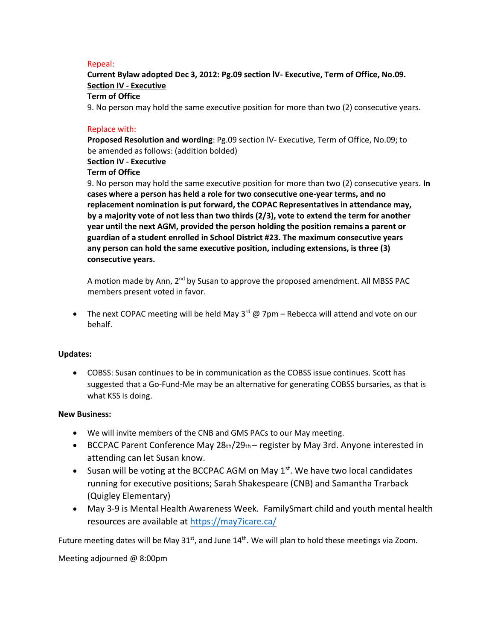### Repeal:

**Current Bylaw adopted Dec 3, 2012: Pg.09 section lV- Executive, Term of Office, No.09. Section IV - Executive**

### **Term of Office**

9. No person may hold the same executive position for more than two (2) consecutive years.

#### Replace with:

**Proposed Resolution and wording**: Pg.09 section lV- Executive, Term of Office, No.09; to be amended as follows: (addition bolded)

## **Section IV - Executive**

## **Term of Office**

9. No person may hold the same executive position for more than two (2) consecutive years. **In cases where a person has held a role for two consecutive one-year terms, and no replacement nomination is put forward, the COPAC Representatives in attendance may, by a majority vote of not less than two thirds (2/3), vote to extend the term for another year until the next AGM, provided the person holding the position remains a parent or guardian of a student enrolled in School District #23. The maximum consecutive years any person can hold the same executive position, including extensions, is three (3) consecutive years.**

A motion made by Ann,  $2^{nd}$  by Susan to approve the proposed amendment. All MBSS PAC members present voted in favor.

• The next COPAC meeting will be held May  $3^{rd}$  @ 7pm – Rebecca will attend and vote on our behalf.

## **Updates:**

• COBSS: Susan continues to be in communication as the COBSS issue continues. Scott has suggested that a Go-Fund-Me may be an alternative for generating COBSS bursaries, as that is what KSS is doing.

#### **New Business:**

- We will invite members of the CNB and GMS PACs to our May meeting.
- BCCPAC Parent Conference May  $28th/29th$  register by May 3rd. Anyone interested in attending can let Susan know.
- Susan will be voting at the BCCPAC AGM on May  $1<sup>st</sup>$ . We have two local candidates running for executive positions; Sarah Shakespeare (CNB) and Samantha Trarback (Quigley Elementary)
- May 3-9 is Mental Health Awareness Week. FamilySmart child and youth mental health resources are available at<https://may7icare.ca/>

Future meeting dates will be May 31<sup>st</sup>, and June 14<sup>th</sup>. We will plan to hold these meetings via Zoom.

Meeting adjourned @ 8:00pm